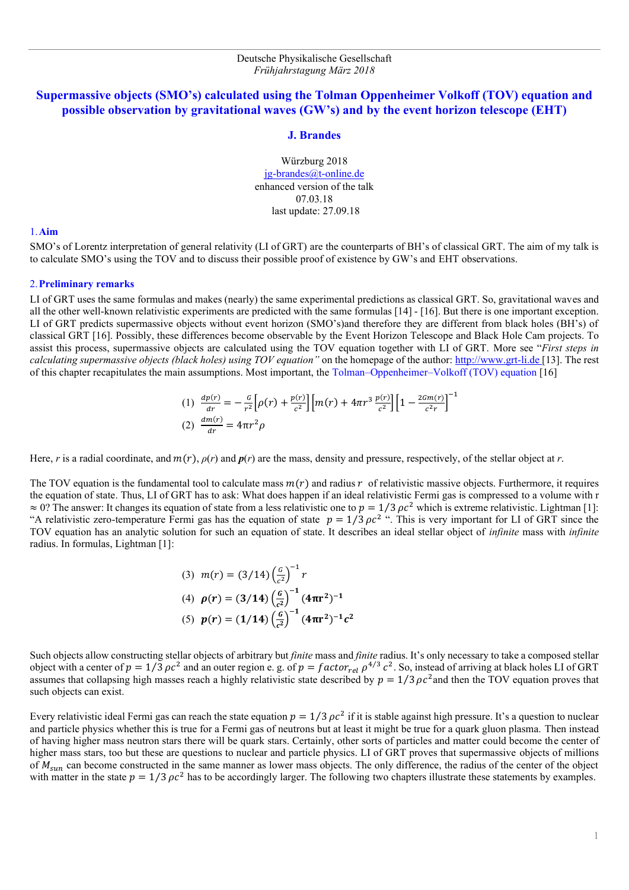# **Supermassive objects (SMO's) calculated using the Tolman Oppenheimer Volkoff (TOV) equation and possible observation by gravitational waves (GW's) and by the event horizon telescope (EHT)**

### **J. Brandes**

Würzburg 2018 [jg-brandes@t-online.de](mailto:jg-brandes@t-online.de) enhanced version of the talk 07.03.18 last update: 27.09.18

#### 1.**Aim**

SMO's of Lorentz interpretation of general relativity (LI of GRT) are the counterparts of BH's of classical GRT. The aim of my talk is to calculate SMO's using the TOV and to discuss their possible proof of existence by GW's and EHT observations.

## 2.**Preliminary remarks**

LI of GRT uses the same formulas and makes (nearly) the same experimental predictions as classical GRT. So, gravitational waves and all the other well-known relativistic experiments are predicted with the same formulas [14] - [16]. But there is one important exception. LI of GRT predicts supermassive objects without event horizon (SMO's)and therefore they are different from black holes (BH's) of classical GRT [16]. Possibly, these differences become observable by the Event Horizon Telescope and Black Hole Cam projects. To assist this process, supermassive objects are calculated using the TOV equation together with LI of GRT. More see "*First steps in*  calculating supermassive objects (black holes) using TOV equation" on the homepage of the author: [http://www.grt-li.de \[](Talks_Brandes_since_2014.htm)13]. The rest of this chapter recapitulates the main assumptions. Most important, the Tolman–Oppenheimer–Volkoff (TOV) equation [16]

(1) 
$$
\frac{dp(r)}{dr} = -\frac{G}{r^2} \left[ \rho(r) + \frac{p(r)}{c^2} \right] \left[ m(r) + 4\pi r^3 \frac{p(r)}{c^2} \right] \left[ 1 - \frac{2Gm(r)}{c^2 r} \right]^{-1}
$$
  
(2) 
$$
\frac{dm(r)}{dr} = 4\pi r^2 \rho
$$

Here, *r* is a radial coordinate, and  $m(r)$ ,  $\rho(r)$  and  $p(r)$  are the mass, density and pressure, respectively, of the stellar object at *r*.

The TOV equation is the fundamental tool to calculate mass  $m(r)$  and radius r of relativistic massive objects. Furthermore, it requires the equation of state. Thus, LI of GRT has to ask: What does happen if an ideal relativistic Fermi gas is compressed to a volume with r  $\approx 0$ ? The answer: It changes its equation of state from a less relativistic one to  $p = 1/3 \rho c^2$  which is extreme relativistic. Lightman [1]: "A relativistic zero-temperature Fermi gas has the equation of state  $p = 1/3 \rho c^2$ ". This is very important for LI of GRT since the TOV equation has an analytic solution for such an equation of state. It describes an ideal stellar object of *infinite* mass with *infinite* radius. In formulas, Lightman [1]:

(3) 
$$
m(r) = (3/14) \left(\frac{G}{c^2}\right)^{-1} r
$$
  
\n(4)  $\rho(r) = (3/14) \left(\frac{G}{c^2}\right)^{-1} (4\pi r^2)^{-1}$   
\n(5)  $p(r) = (1/14) \left(\frac{G}{c^2}\right)^{-1} (4\pi r^2)^{-1} c^2$ 

Such objects allow constructing stellar objects of arbitrary but *finite* mass and *finite* radius. It's only necessary to take a composed stellar object with a center of  $p = 1/3 \rho c^2$  and an outer region e. g. of  $p = factor_{rel} \rho^{4/3} c^2$ . So, instead of arriving at black holes LI of GRT assumes that collapsing high masses reach a highly relativistic state described by  $p = 1/3 \rho c^2$  and then the TOV equation proves that such objects can exist.

Every relativistic ideal Fermi gas can reach the state equation  $p = 1/3 \rho c^2$  if it is stable against high pressure. It's a question to nuclear and particle physics whether this is true for a Fermi gas of neutrons but at least it might be true for a quark gluon plasma. Then instead of having higher mass neutron stars there will be quark stars. Certainly, other sorts of particles and matter could become the center of higher mass stars, too but these are questions to nuclear and particle physics. LI of GRT proves that supermassive objects of millions of  $M_{sun}$  can become constructed in the same manner as lower mass objects. The only difference, the radius of the center of the object with matter in the state  $p = 1/3 \rho c^2$  has to be accordingly larger. The following two chapters illustrate these statements by examples.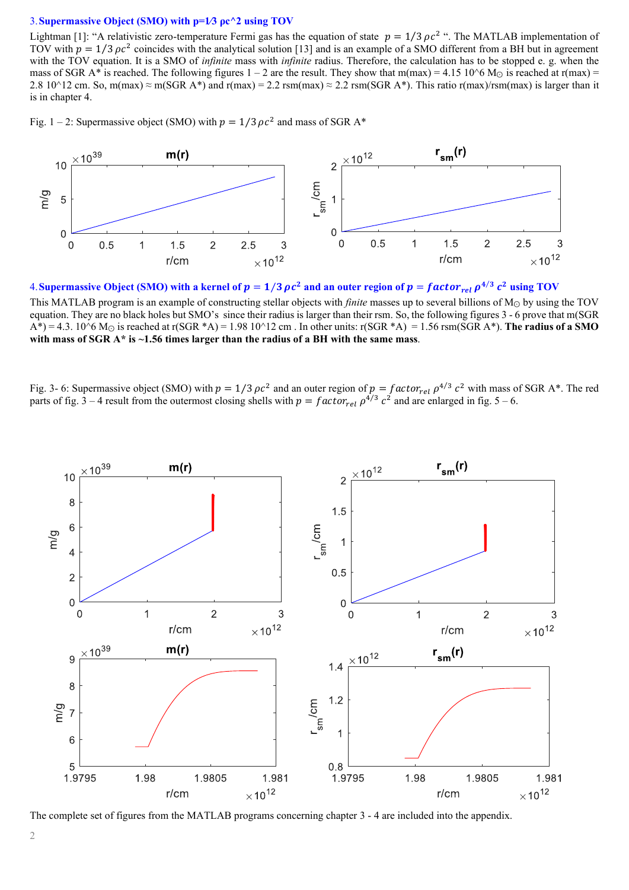#### 3.**Supermassive Object (SMO) with p=1⁄3 ρc^2 using TOV**

Lightman [1]: "A relativistic zero-temperature Fermi gas has the equation of state  $p = 1/3 \rho c^2$ ". The MATLAB implementation of TOV with  $p = 1/3 \rho c^2$  coincides with the analytical solution [13] and is an example of a SMO different from a BH but in agreement with the TOV equation. It is a SMO of *infinite* mass with *infinite* radius. Therefore, the calculation has to be stopped e. g. when the mass of SGR A\* is reached. The following figures  $1 - 2$  are the result. They show that m(max) = 4.15 10^6 M<sub>☉</sub> is reached at r(max) = 2.8 10^12 cm. So, m(max)  $\approx$  m(SGR A\*) and r(max) = 2.2 rsm(max)  $\approx$  2.2 rsm(SGR A\*). This ratio r(max)/rsm(max) is larger than it is in chapter 4.

Fig. 1 – 2: Supermassive object (SMO) with  $p = 1/3 \rho c^2$  and mass of SGR A\*



4. Supermassive Object (SMO) with a kernel of  $p = 1/3$   $\rho c^2$  and an outer region of  $p = factor_{rel} \rho^{4/3} c^2$  using TOV

This MATLAB program is an example of constructing stellar objects with *finite* masses up to several billions of M<sup>⊙</sup> by using the TOV equation. They are no black holes but SMO's since their radius is larger than their rsm. So, the following figures 3 - 6 prove that m(SGR  $A^*$ ) = 4.3. 10^6 M<sub>☉</sub> is reached at r(SGR \*A) = 1.98 10^12 cm . In other units: r(SGR \*A) = 1.56 rsm(SGR A\*). **The radius of a SMO with mass of SGR A\* is ~1.56 times larger than the radius of a BH with the same mass**.

Fig. 3- 6: Supermassive object (SMO) with  $p = 1/3 \rho c^2$  and an outer region of  $p = factor_{rel} \rho^{4/3} c^2$  with mass of SGR A\*. The red parts of fig. 3 – 4 result from the outermost closing shells with  $p = factor_{rel} \rho^{4/3} c^2$  and are enlarged in fig. 5 – 6.



The complete set of figures from the MATLAB programs concerning chapter 3 - 4 are included into the appendix.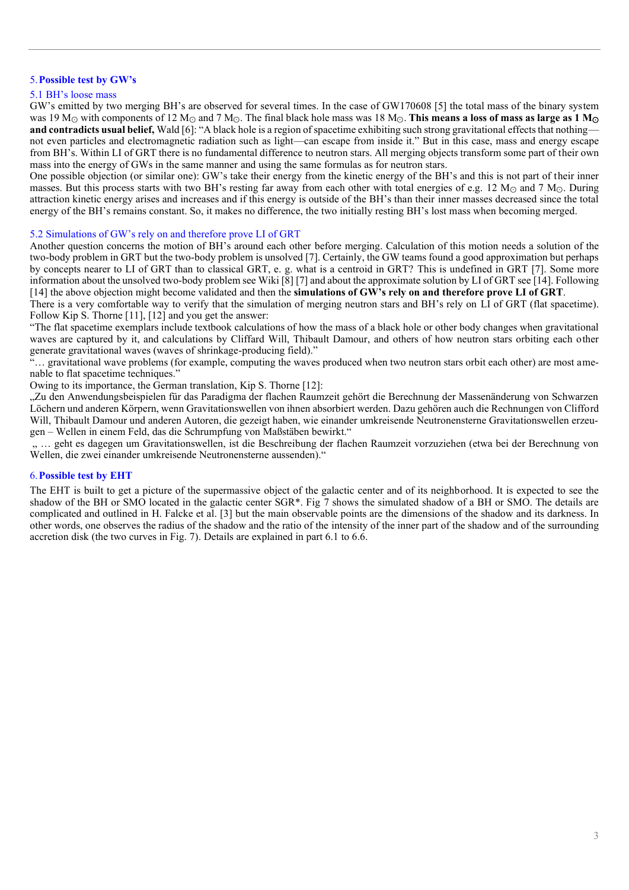## 5.**Possible test by GW's**

#### 5.1 BH's loose mass

GW's emitted by two merging BH's are observed for several times. In the case of GW170608 [5] the total mass of the binary system was 19 M<sup>⊙</sup> with components of 12 M<sup>⊙</sup> and 7 M⊙. The final black hole mass was 18 M⊙. **This means a loss of mass as large as 1 M**<sup>⊙</sup> **and contradicts usual belief,** Wald [6]: "A black hole is a region of spacetime exhibiting such strong gravitational effects that nothing not even particles and electromagnetic radiation such as light—can escape from inside it." But in this case, mass and energy escape from BH's. Within LI of GRT there is no fundamental difference to neutron stars. All merging objects transform some part of their own mass into the energy of GWs in the same manner and using the same formulas as for neutron stars.

One possible objection (or similar one): GW's take their energy from the kinetic energy of the BH's and this is not part of their inner masses. But this process starts with two BH's resting far away from each other with total energies of e.g. 12 M<sub>☉</sub> and 7 M<sub>☉</sub>. During attraction kinetic energy arises and increases and if this energy is outside of the BH's than their inner masses decreased since the total energy of the BH's remains constant. So, it makes no difference, the two initially resting BH's lost mass when becoming merged.

#### 5.2 Simulations of GW's rely on and therefore prove LI of GRT

Another question concerns the motion of BH's around each other before merging. Calculation of this motion needs a solution of the two-body problem in GRT but the two-body problem is unsolved [7]. Certainly, the GW teams found a good approximation but perhaps by concepts nearer to LI of GRT than to classical GRT, e. g. what is a centroid in GRT? This is undefined in GRT [7]. Some more information about the unsolved two-body problem see Wiki [8] [7] and about the approximate solution by LI of GRT see [14]. Following [14] the above objection might become validated and then the **simulations of GW's rely on and therefore prove LI of GRT**.

There is a very comfortable way to verify that the simulation of merging neutron stars and BH's rely on LI of GRT (flat spacetime). Follow Kip S. Thorne [11], [12] and you get the answer:

"The flat spacetime exemplars include textbook calculations of how the mass of a black hole or other body changes when gravitational waves are captured by it, and calculations by Cliffard Will, Thibault Damour, and others of how neutron stars orbiting each other generate gravitational waves (waves of shrinkage-producing field)."

"… gravitational wave problems (for example, computing the waves produced when two neutron stars orbit each other) are most amenable to flat spacetime techniques."

Owing to its importance, the German translation, Kip S. Thorne [12]:

"Zu den Anwendungsbeispielen für das Paradigma der flachen Raumzeit gehört die Berechnung der Massenänderung von Schwarzen Löchern und anderen Körpern, wenn Gravitationswellen von ihnen absorbiert werden. Dazu gehören auch die Rechnungen von Clifford Will, Thibault Damour und anderen Autoren, die gezeigt haben, wie einander umkreisende Neutronensterne Gravitationswellen erzeugen – Wellen in einem Feld, das die Schrumpfung von Maßstäben bewirkt."

" ... geht es dagegen um Gravitationswellen, ist die Beschreibung der flachen Raumzeit vorzuziehen (etwa bei der Berechnung von Wellen, die zwei einander umkreisende Neutronensterne aussenden)."

#### 6.**Possible test by EHT**

The EHT is built to get a picture of the supermassive object of the galactic center and of its neighborhood. It is expected to see the shadow of the BH or SMO located in the galactic center SGR\*. Fig 7 shows the simulated shadow of a BH or SMO. The details are complicated and outlined in H. Falcke et al. [3] but the main observable points are the dimensions of the shadow and its darkness. In other words, one observes the radius of the shadow and the ratio of the intensity of the inner part of the shadow and of the surrounding accretion disk (the two curves in Fig. 7). Details are explained in part 6.1 to 6.6.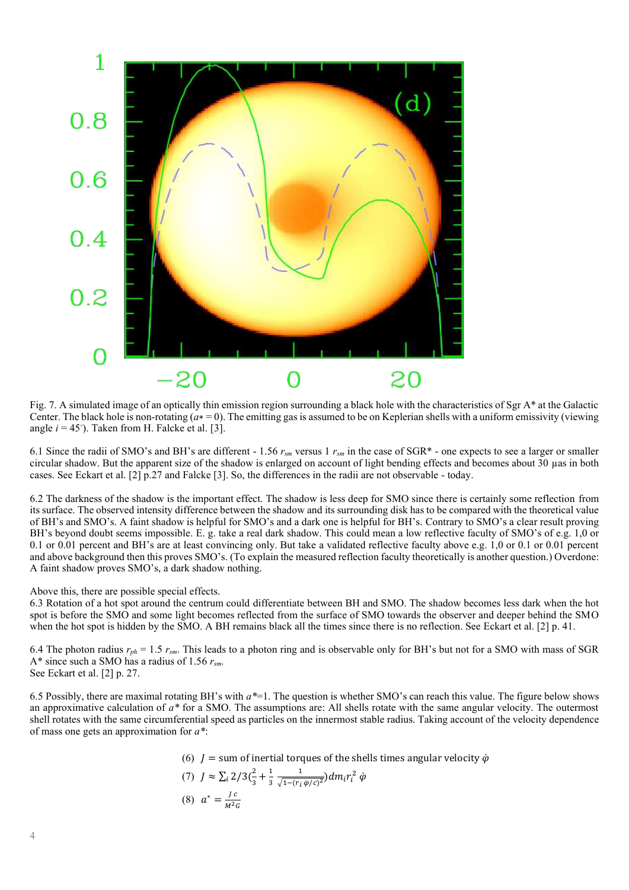

Fig. 7. A simulated image of an optically thin emission region surrounding a black hole with the characteristics of Sgr A\* at the Galactic Center. The black hole is non-rotating (*a*∗ = 0). The emitting gas is assumed to be on Keplerian shells with a uniform emissivity (viewing angle  $i = 45^\circ$ ). Taken from H. Falcke et al. [3].

6.1 Since the radii of SMO's and BH's are different - 1.56 *rsm* versus 1 *rsm* in the case of SGR\* - one expects to see a larger or smaller circular shadow. But the apparent size of the shadow is enlarged on account of light bending effects and becomes about 30 µas in both cases. See Eckart et al. [2] p.27 and Falcke [3]. So, the differences in the radii are not observable - today.

6.2 The darkness of the shadow is the important effect. The shadow is less deep for SMO since there is certainly some reflection from its surface. The observed intensity difference between the shadow and its surrounding disk has to be compared with the theoretical value of BH's and SMO's. A faint shadow is helpful for SMO's and a dark one is helpful for BH's. Contrary to SMO's a clear result proving BH's beyond doubt seems impossible. E. g. take a real dark shadow. This could mean a low reflective faculty of SMO's of e.g. 1,0 or 0.1 or 0.01 percent and BH's are at least convincing only. But take a validated reflective faculty above e.g. 1,0 or 0.1 or 0.01 percent and above background then this proves SMO's. (To explain the measured reflection faculty theoretically is another question.) Overdone: A faint shadow proves SMO's, a dark shadow nothing.

Above this, there are possible special effects.

6.3 Rotation of a hot spot around the centrum could differentiate between BH and SMO. The shadow becomes less dark when the hot spot is before the SMO and some light becomes reflected from the surface of SMO towards the observer and deeper behind the SMO when the hot spot is hidden by the SMO. A BH remains black all the times since there is no reflection. See Eckart et al. [2] p. 41.

6.4 The photon radius  $r_{ph} = 1.5 r_{sm}$ . This leads to a photon ring and is observable only for BH's but not for a SMO with mass of SGR A\* since such a SMO has a radius of 1.56 *rsm.* See Eckart et al. [2] p. 27.

6.5 Possibly, there are maximal rotating BH's with *a\**=1. The question is whether SMO's can reach this value. The figure below shows an approximative calculation of *a\** for a SMO. The assumptions are: All shells rotate with the same angular velocity. The outermost shell rotates with the same circumferential speed as particles on the innermost stable radius. Taking account of the velocity dependence of mass one gets an approximation for *a\**:

\n- (6) 
$$
J = \text{sum of inertial torques of the shells times angular velocity } \phi
$$
\n- (7)  $J \approx \sum_{i} 2/3 \left(\frac{2}{3} + \frac{1}{3} \frac{1}{\sqrt{1 - (r_i \phi/c)^2}}\right) dm_i r_i^2 \phi$
\n- (8)  $a^* = \frac{Jc}{M^2 G}$
\n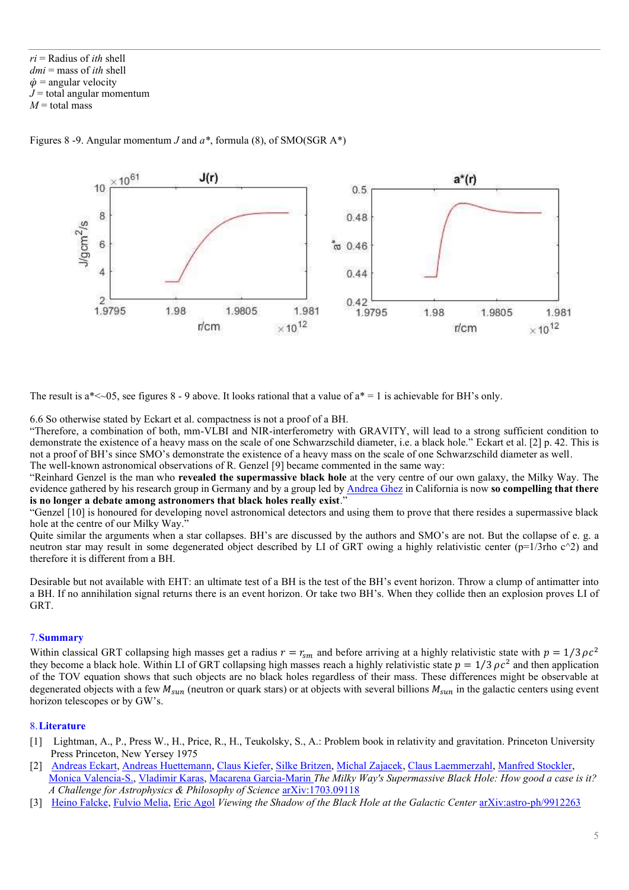*ri* = Radius of *ith* shell *dmi* = mass of *ith* shell  $\dot{\varphi}$  = angular velocity  $J =$  total angular momentum  $M$  = total mass

Figures 8 -9. Angular momentum *J* and *a\**, formula (8), of SMO(SGR A\*)



The result is a\*<~05, see figures 8 - 9 above. It looks rational that a value of  $a^* = 1$  is achievable for BH's only.

6.6 So otherwise stated by Eckart et al. compactness is not a proof of a BH.

"Therefore, a combination of both, mm-VLBI and NIR-interferometry with GRAVITY, will lead to a strong sufficient condition to demonstrate the existence of a heavy mass on the scale of one Schwarzschild diameter, i.e. a black hole." Eckart et al. [2] p. 42. This is not a proof of BH's since SMO's demonstrate the existence of a heavy mass on the scale of one Schwarzschild diameter as well. The well-known astronomical observations of R. Genzel [9] became commented in the same way:

"Reinhard Genzel is the man who **revealed the supermassive black hole** at the very centre of our own galaxy, the Milky Way. The evidence gathered by his research group in Germany and by a group led b[y Andrea Ghez](http://www.astro.ucla.edu/~ghezgroup/gc/index.shtml) in California is now **so compelling that there is no longer a debate among astronomers that black holes really exist**."

"Genzel [10] is honoured for developing novel astronomical detectors and using them to prove that there resides a supermassive black hole at the centre of our Milky Way."

Quite similar the arguments when a star collapses. BH's are discussed by the authors and SMO's are not. But the collapse of e. g. a neutron star may result in some degenerated object described by LI of GRT owing a highly relativistic center ( $p=1/3$ rho c $\hat{ }$ 2) and therefore it is different from a BH.

Desirable but not available with EHT: an ultimate test of a BH is the test of the BH's event horizon. Throw a clump of antimatter into a BH. If no annihilation signal returns there is an event horizon. Or take two BH's. When they collide then an explosion proves LI of GRT.

## 7.**Summary**

Within classical GRT collapsing high masses get a radius  $r = r_{sm}$  and before arriving at a highly relativistic state with  $p = 1/3 \rho c^2$ they become a black hole. Within LI of GRT collapsing high masses reach a highly relativistic state  $p = 1/3 \rho c^2$  and then application of the TOV equation shows that such objects are no black holes regardless of their mass. These differences might be observable at degenerated objects with a few  $M_{sun}$  (neutron or quark stars) or at objects with several billions  $M_{sun}$  in the galactic centers using event horizon telescopes or by GW's.

## 8.**Literature**

- [1] Lightman, A., P., Press W., H., Price, R., H., Teukolsky, S., A.: Problem book in relativity and gravitation. Princeton University Press Princeton, New Yersey 1975
- [2] [Andreas Eckart,](https://arxiv.org/find/astro-ph/1/au:+Eckart_A/0/1/0/all/0/1) [Andreas Huettemann,](https://arxiv.org/find/astro-ph/1/au:+Huettemann_A/0/1/0/all/0/1) [Claus Kiefer,](https://arxiv.org/find/astro-ph/1/au:+Kiefer_C/0/1/0/all/0/1) [Silke Britzen,](https://arxiv.org/find/astro-ph/1/au:+Britzen_S/0/1/0/all/0/1) [Michal Zajacek,](https://arxiv.org/find/astro-ph/1/au:+Zajacek_M/0/1/0/all/0/1) [Claus Laemmerzahl,](https://arxiv.org/find/astro-ph/1/au:+Laemmerzahl_C/0/1/0/all/0/1) [Manfred Stockler,](https://arxiv.org/find/astro-ph/1/au:+Stockler_M/0/1/0/all/0/1) [Monica Valencia-S.,](https://arxiv.org/find/astro-ph/1/au:+Valencia_S._M/0/1/0/all/0/1) [Vladimir Karas,](https://arxiv.org/find/astro-ph/1/au:+Karas_V/0/1/0/all/0/1) [Macarena Garcia-Marin](https://arxiv.org/find/astro-ph/1/au:+Garcia_Marin_M/0/1/0/all/0/1) *The Milky Way's Supermassive Black Hole: How good a case is it? A Challenge for Astrophysics & Philosophy of Science* [arXiv:1703.09118](https://arxiv.org/abs/1703.09118)
- [3] [Heino Falcke,](https://arxiv.org/find/astro-ph/1/au:+Falcke_H/0/1/0/all/0/1) [Fulvio Melia,](https://arxiv.org/find/astro-ph/1/au:+Melia_F/0/1/0/all/0/1) *Eric Agol Viewing the Shadow of the Black Hole at the Galactic Center* [arXiv:astro-ph/9912263](https://arxiv.org/abs/astro-ph/9912263)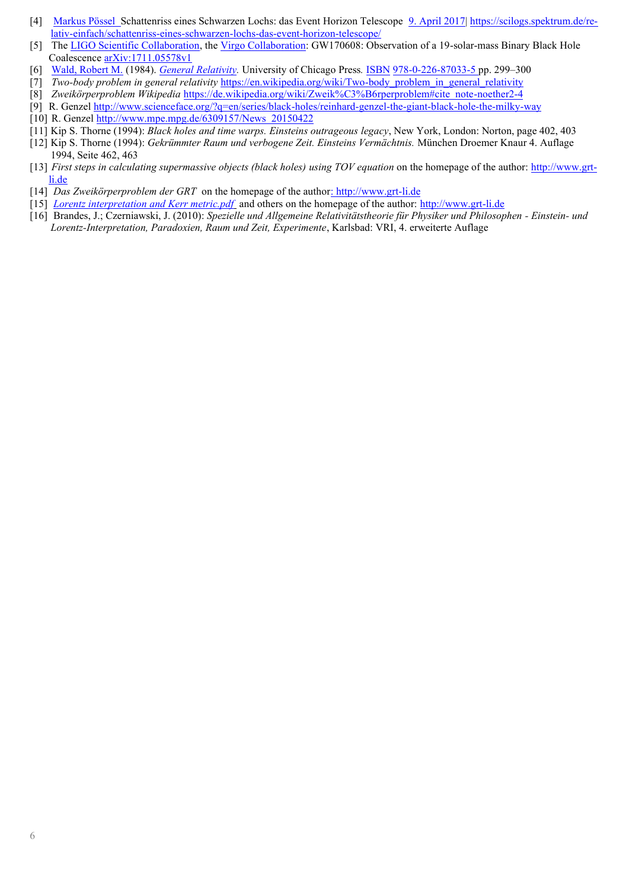- [4] [Markus Pössel](file:///C:/Users/Jürgen/Physik/vorträge,tagungen/tagungen/dpg-vortrag-2018/Markus%20Pössel) Schattenriss eines Schwarzen Lochs: das Event Horizon Telescope [9. April 2017| https://scilogs.spektrum.de/re](https://scilogs.spektrum.de/relativ-einfach/schattenriss-eines-schwarzen-lochs-das-event-horizon-telescope/)[lativ-einfach/schattenriss-eines-schwarzen-lochs-das-event-horizon-telescope/](https://scilogs.spektrum.de/relativ-einfach/schattenriss-eines-schwarzen-lochs-das-event-horizon-telescope/)
- [5] Th[e LIGO Scientific Collaboration,](https://arxiv.org/find/astro-ph/1/au:+Collaboration_LIGO_Scientific/0/1/0/all/0/1) th[e Virgo Collaboration:](https://arxiv.org/find/astro-ph/1/au:+Collaboration_Virgo/0/1/0/all/0/1) GW170608: Observation of a 19-solar-mass Binary Black Hole Coalescenc[e arXiv:1711.05578v1](https://arxiv.org/abs/1711.05578v1)
- [6] [Wald, Robert M.](https://en.wikipedia.org/wiki/Robert_Wald) (1984). *[General Relativity.](https://books.google.com/books?id=9S-hzg6-moYC)* University of Chicago Press*.* [ISBN](https://en.wikipedia.org/wiki/International_Standard_Book_Number) [978-0-226-87033-5](https://en.wikipedia.org/wiki/Special:BookSources/978-0-226-87033-5) pp. 299–300
- [7] *Two-body problem in general relativity* [https://en.wikipedia.org/wiki/Two-body\\_problem\\_in\\_general\\_relativity](https://en.wikipedia.org/wiki/Two-body_problem_in_general_relativity)
- [8] *Zweikörperproblem Wikipedia* [https://de.wikipedia.org/wiki/Zweik%C3%B6rperproblem#cite\\_note-noether2-4](https://de.wikipedia.org/wiki/Zweik%C3%B6rperproblem#cite_note-noether2-4)
- [9] R. Genze[l http://www.scienceface.org/?q=en/series/black-holes/reinhard-genzel-the-giant-black-hole-the-milky-way](http://www.scienceface.org/?q=en/series/black-holes/reinhard-genzel-the-giant-black-hole-the-milky-way)
- [10] R. Genzel http://www.mpe.mpg.de/6309157/News 20150422
- [11] Kip S. Thorne (1994): *Black holes and time warps. Einsteins outrageous legacy*, New York, London: Norton, page 402, 403
- [12] Kip S. Thorne (1994): *Gekrümmter Raum und verbogene Zeit. Einsteins Vermächtnis.* München Droemer Knaur 4. Auflage 1994, Seite 462, 463
- [13] *First steps in calculating supermassive objects (black holes) using TOV equation* on the homepage of the author: [http://www.grt](Talks_Brandes_since_2014.htm)[li.de](Talks_Brandes_since_2014.htm)
- [14] *Das Zweikörperproblem der GRT* on the homepage of the author: [http://www.grt-li.de](Talks_Brandes_since_2014.htm)
- [15] *[Lorentz interpretation and Kerr metric.pdf](Lorentz%20interpretation%20and%20Kerr%20metric.pdf)* and others on the homepage of the author[: http://www.grt-li.de](Talks_Brandes_since_2014.htm)
- [16] Brandes, J.; Czerniawski, J. (2010): *Spezielle und Allgemeine Relativitätstheorie für Physiker und Philosophen - Einstein- und Lorentz-Interpretation, Paradoxien, Raum und Zeit, Experimente*, Karlsbad: VRI, 4. erweiterte Auflage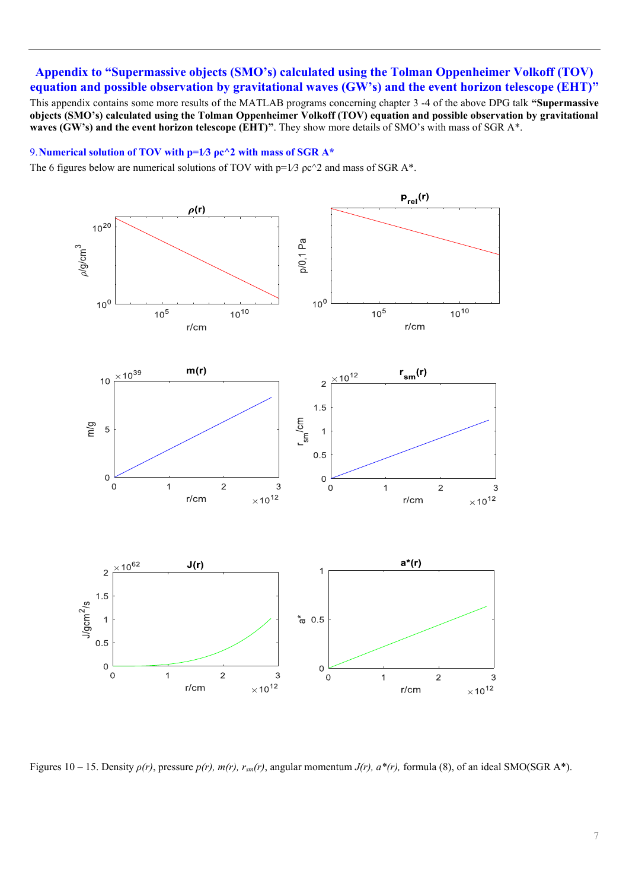# **Appendix to "Supermassive objects (SMO's) calculated using the Tolman Oppenheimer Volkoff (TOV) equation and possible observation by gravitational waves (GW's) and the event horizon telescope (EHT)"**

This appendix contains some more results of the MATLAB programs concerning chapter 3 -4 of the above DPG talk **"Supermassive objects (SMO's) calculated using the Tolman Oppenheimer Volkoff (TOV) equation and possible observation by gravitational waves (GW's) and the event horizon telescope (EHT)"**. They show more details of SMO's with mass of SGR A\*.

## 9.**Numerical solution of TOV with p=1⁄3 ρc^2 with mass of SGR A\***

The 6 figures below are numerical solutions of TOV with  $p=1/3$   $\rho c^2$  and mass of SGR A\*.



Figures 10 – 15. Density *ρ(r)*, pressure *p(r), m(r), rsm(r)*, angular momentum *J(r), a\*(r),* formula (8), of an ideal SMO(SGR A\*).